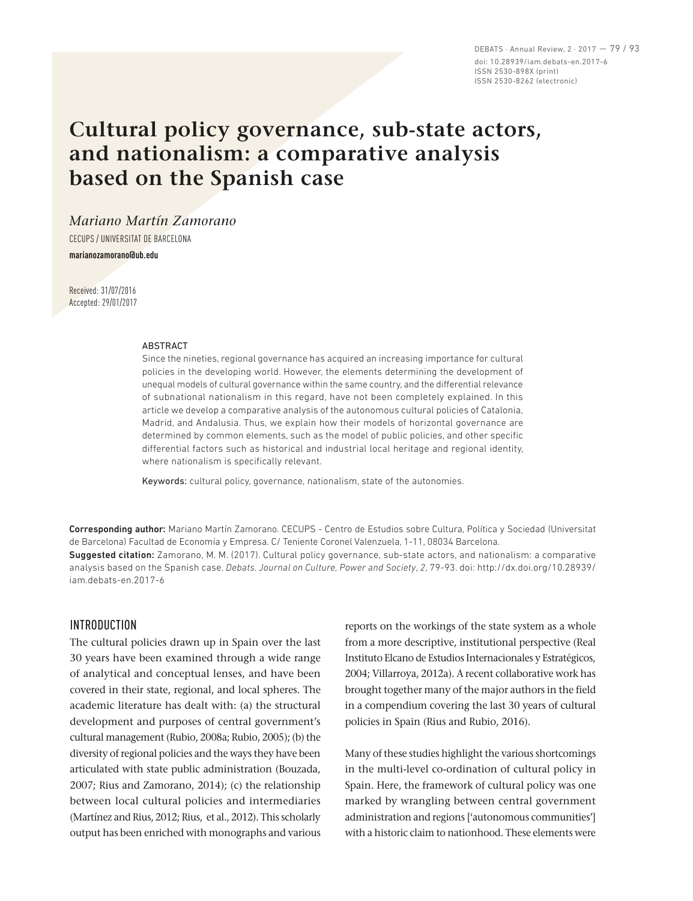DEBATS · Annual Review, 2 · 2017 — 79 / 93 doi: 10.28939/iam.debats-en.2017-6 ISSN 2530-898X (print) ISSN 2530-8262 (electronic)

# **Cultural policy governance, sub‑state actors, and nationalism: a comparative analysis based on the Spanish case**

*Mariano Martín Zamorano*

CECUPS / UNIVERSITAT DE BARCELONA

**marianozamorano@ub.edu**

Received: 31/07/2016 Accepted: 29/01/2017

#### ABSTRACT

Since the nineties, regional governance has acquired an increasing importance for cultural policies in the developing world. However, the elements determining the development of unequal models of cultural governance within the same country, and the differential relevance of subnational nationalism in this regard, have not been completely explained. In this article we develop a comparative analysis of the autonomous cultural policies of Catalonia, Madrid, and Andalusia. Thus, we explain how their models of horizontal governance are determined by common elements, such as the model of public policies, and other specific differential factors such as historical and industrial local heritage and regional identity, where nationalism is specifically relevant.

Keywords: cultural policy, governance, nationalism, state of the autonomies.

Corresponding author: Mariano Martín Zamorano. CECUPS - Centro de Estudios sobre Cultura, Política y Sociedad (Universitat de Barcelona) Facultad de Economía y Empresa. C/ Teniente Coronel Valenzuela, 1-11, 08034 Barcelona.

Suggested citation: Zamorano, M. M. (2017). Cultural policy governance, sub-state actors, and nationalism: a comparative analysis based on the Spanish case. *Debats. Journal on Culture, Power and Society*, *2*, 79-93. doi: http://dx.doi.org/10.28939/ iam.debats-en.2017-6

#### INTRODUCTION

The cultural policies drawn up in Spain over the last 30 years have been examined through a wide range of analytical and conceptual lenses, and have been covered in their state, regional, and local spheres. The academic literature has dealt with: (a) the structural development and purposes of central government's cultural management (Rubio, 2008a; Rubio, 2005); (b) the diversity of regional policies and the ways they have been articulated with state public administration (Bouzada, 2007; Rius and Zamorano, 2014); (c) the relationship between local cultural policies and intermediaries (Martínez and Rius, 2012; Rius, et al., 2012). This scholarly output has been enriched with monographs and various reports on the workings of the state system as a whole from a more descriptive, institutional perspective (Real Instituto Elcano de Estudios Internacionales y Estratégicos, 2004; Villarroya, 2012a). A recent collaborative work has brought together many of the major authors in the field in a compendium covering the last 30 years of cultural policies in Spain (Rius and Rubio, 2016).

Many of these studies highlight the various shortcomings in the multi-level co-ordination of cultural policy in Spain. Here, the framework of cultural policy was one marked by wrangling between central government administration and regions ['autonomous communities'] with a historic claim to nationhood. These elements were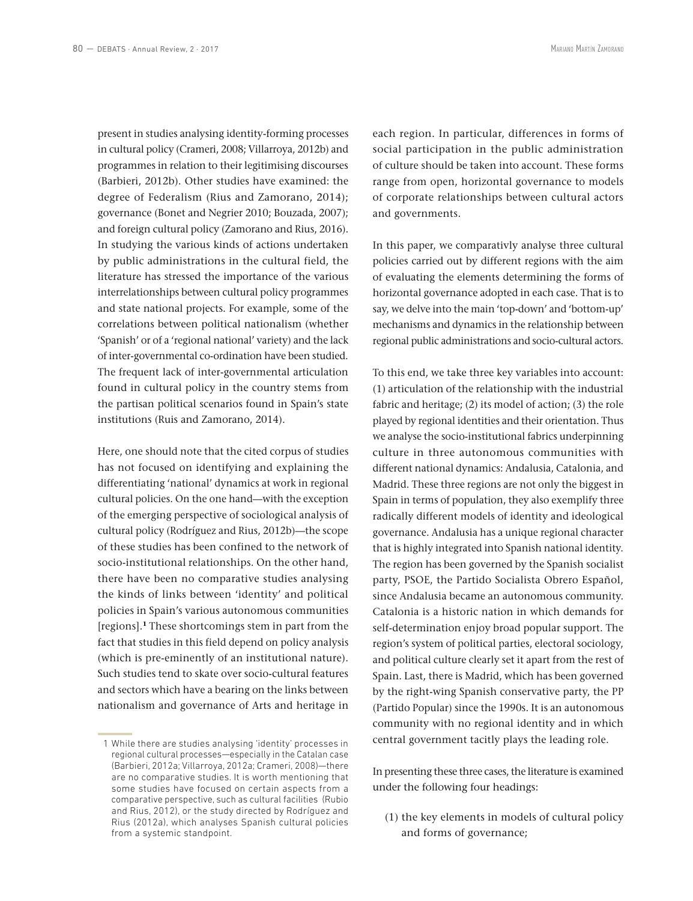present in studies analysing identity-forming processes in cultural policy (Crameri, 2008; Villarroya, 2012b) and programmes in relation to their legitimising discourses (Barbieri, 2012b). Other studies have examined: the degree of Federalism (Rius and Zamorano, 2014); governance (Bonet and Negrier 2010; Bouzada, 2007); and foreign cultural policy (Zamorano and Rius, 2016). In studying the various kinds of actions undertaken by public administrations in the cultural field, the literature has stressed the importance of the various interrelationships between cultural policy programmes and state national projects. For example, some of the correlations between political nationalism (whether 'Spanish' or of a 'regional national' variety) and the lack of inter-governmental co-ordination have been studied. The frequent lack of inter‑governmental articulation found in cultural policy in the country stems from the partisan political scenarios found in Spain's state institutions (Ruis and Zamorano, 2014).

Here, one should note that the cited corpus of studies has not focused on identifying and explaining the differentiating 'national' dynamics at work in regional cultural policies. On the one hand—with the exception of the emerging perspective of sociological analysis of cultural policy (Rodríguez and Rius, 2012b)—the scope of these studies has been confined to the network of socio-institutional relationships. On the other hand, there have been no comparative studies analysing the kinds of links between 'identity' and political policies in Spain's various autonomous communities [regions].**<sup>1</sup>** These shortcomings stem in part from the fact that studies in this field depend on policy analysis (which is pre‑eminently of an institutional nature). Such studies tend to skate over socio-cultural features and sectors which have a bearing on the links between nationalism and governance of Arts and heritage in each region. In particular, differences in forms of social participation in the public administration of culture should be taken into account. These forms range from open, horizontal governance to models of corporate relationships between cultural actors and governments.

In this paper, we comparativly analyse three cultural policies carried out by different regions with the aim of evaluating the elements determining the forms of horizontal governance adopted in each case. That is to say, we delve into the main 'top-down' and 'bottom-up' mechanisms and dynamics in the relationship between regional public administrations and socio-cultural actors.

To this end, we take three key variables into account: (1) articulation of the relationship with the industrial fabric and heritage; (2) its model of action; (3) the role played by regional identities and their orientation. Thus we analyse the socio-institutional fabrics underpinning culture in three autonomous communities with different national dynamics: Andalusia, Catalonia, and Madrid. These three regions are not only the biggest in Spain in terms of population, they also exemplify three radically different models of identity and ideological governance. Andalusia has a unique regional character that is highly integrated into Spanish national identity. The region has been governed by the Spanish socialist party, PSOE, the Partido Socialista Obrero Español, since Andalusia became an autonomous community. Catalonia is a historic nation in which demands for self-determination enjoy broad popular support. The region's system of political parties, electoral sociology, and political culture clearly set it apart from the rest of Spain. Last, there is Madrid, which has been governed by the right-wing Spanish conservative party, the PP (Partido Popular) since the 1990s. It is an autonomous community with no regional identity and in which central government tacitly plays the leading role.

In presenting these three cases, the literature is examined under the following four headings:

(1) the key elements in models of cultural policy and forms of governance;

 <sup>1</sup> While there are studies analysing 'identity' processes in regional cultural processes—especially in the Catalan case (Barbieri, 2012a; Villarroya, 2012a; Crameri, 2008)—there are no comparative studies. It is worth mentioning that some studies have focused on certain aspects from a comparative perspective, such as cultural facilities (Rubio and Rius, 2012), or the study directed by Rodríguez and Rius (2012a), which analyses Spanish cultural policies from a systemic standpoint.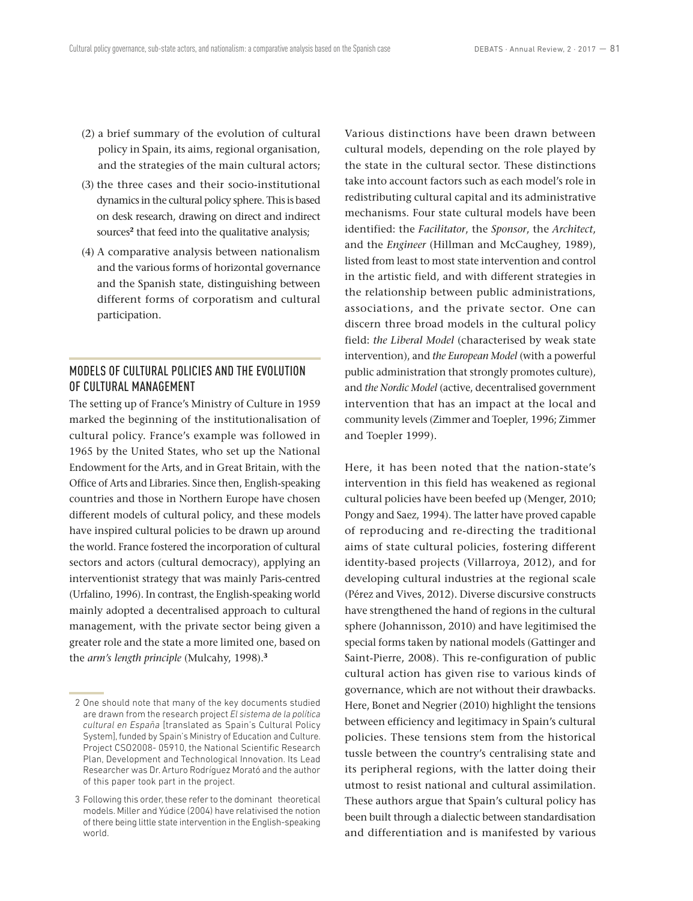- (2) a brief summary of the evolution of cultural policy in Spain, its aims, regional organisation, and the strategies of the main cultural actors;
- (3) the three cases and their socio-institutional dynamics in the cultural policy sphere. This is based on desk research, drawing on direct and indirect sources<sup>2</sup> that feed into the qualitative analysis;
- (4) A comparative analysis between nationalism and the various forms of horizontal governance and the Spanish state, distinguishing between different forms of corporatism and cultural participation.

## MODELS OF CULTURAL POLICIES AND THE EVOLUTION OF CULTURAL MANAGEMENT

The setting up of France's Ministry of Culture in 1959 marked the beginning of the institutionalisation of cultural policy. France's example was followed in 1965 by the United States, who set up the National Endowment for the Arts, and in Great Britain, with the Office of Arts and Libraries. Since then, English‑speaking countries and those in Northern Europe have chosen different models of cultural policy, and these models have inspired cultural policies to be drawn up around the world. France fostered the incorporation of cultural sectors and actors (cultural democracy), applying an interventionist strategy that was mainly Paris‑centred (Urfalino, 1996). In contrast, the English-speaking world mainly adopted a decentralised approach to cultural management, with the private sector being given a greater role and the state a more limited one, based on the *arm's length principle* (Mulcahy, 1998).**<sup>3</sup>**

Various distinctions have been drawn between cultural models, depending on the role played by the state in the cultural sector. These distinctions take into account factors such as each model's role in redistributing cultural capital and its administrative mechanisms. Four state cultural models have been identified: the *Facilitator*, the *Sponsor*, the *Architect*, and the *Engineer* (Hillman and McCaughey, 1989), listed from least to most state intervention and control in the artistic field, and with different strategies in the relationship between public administrations, associations, and the private sector. One can discern three broad models in the cultural policy field: *the Liberal Model* (characterised by weak state intervention), and *the European Model* (with a powerful public administration that strongly promotes culture), and *the Nordic Model* (active, decentralised government intervention that has an impact at the local and community levels (Zimmer and Toepler, 1996; Zimmer and Toepler 1999).

Here, it has been noted that the nation-state's intervention in this field has weakened as regional cultural policies have been beefed up (Menger, 2010; Pongy and Saez, 1994). The latter have proved capable of reproducing and re‑directing the traditional aims of state cultural policies, fostering different identity-based projects (Villarroya, 2012), and for developing cultural industries at the regional scale (Pérez and Vives, 2012). Diverse discursive constructs have strengthened the hand of regions in the cultural sphere (Johannisson, 2010) and have legitimised the special forms taken by national models (Gattinger and Saint-Pierre, 2008). This re-configuration of public cultural action has given rise to various kinds of governance, which are not without their drawbacks. Here, Bonet and Negrier (2010) highlight the tensions between efficiency and legitimacy in Spain's cultural policies. These tensions stem from the historical tussle between the country's centralising state and its peripheral regions, with the latter doing their utmost to resist national and cultural assimilation. These authors argue that Spain's cultural policy has been built through a dialectic between standardisation and differentiation and is manifested by various

<sup>2</sup> One should note that many of the key documents studied are drawn from the research project *El sistema de la política cultural en España* [translated as Spain's Cultural Policy System], funded by Spain's Ministry of Education and Culture. Project CSO2008- 05910, the National Scientific Research Plan, Development and Technological Innovation. Its Lead Researcher was Dr. Arturo Rodríguez Morató and the author of this paper took part in the project.

 <sup>3</sup> Following this order, these refer to the dominant theoretical models. Miller and Yúdice (2004) have relativised the notion of there being little state intervention in the English-speaking world.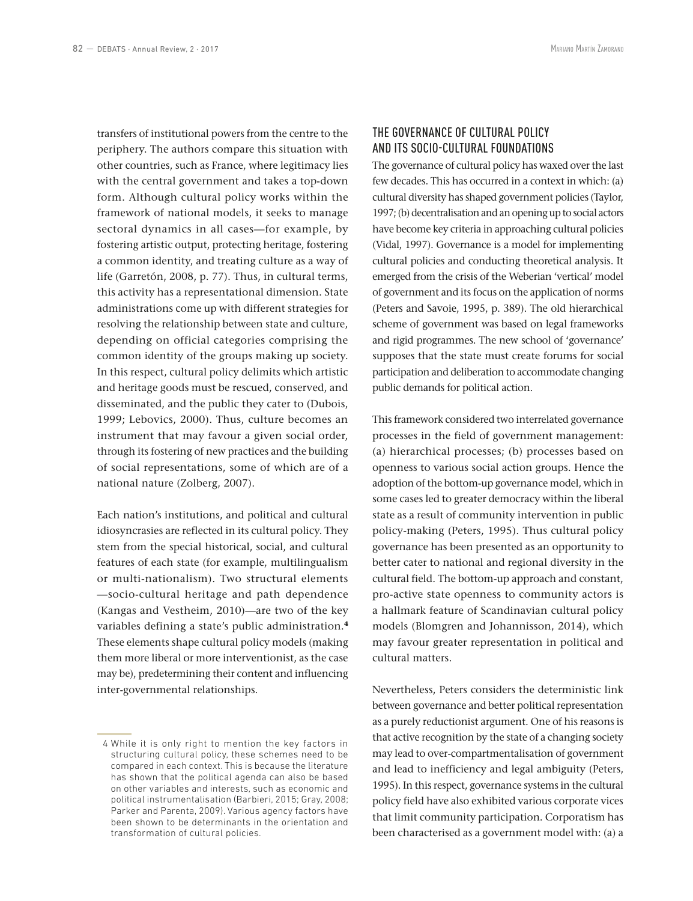transfers of institutional powers from the centre to the periphery. The authors compare this situation with other countries, such as France, where legitimacy lies with the central government and takes a top-down form. Although cultural policy works within the framework of national models, it seeks to manage sectoral dynamics in all cases—for example, by fostering artistic output, protecting heritage, fostering a common identity, and treating culture as a way of life (Garretón, 2008, p. 77). Thus, in cultural terms, this activity has a representational dimension. State administrations come up with different strategies for resolving the relationship between state and culture, depending on official categories comprising the common identity of the groups making up society. In this respect, cultural policy delimits which artistic and heritage goods must be rescued, conserved, and disseminated, and the public they cater to (Dubois, 1999; Lebovics, 2000). Thus, culture becomes an instrument that may favour a given social order, through its fostering of new practices and the building of social representations, some of which are of a national nature (Zolberg, 2007).

Each nation's institutions, and political and cultural idiosyncrasies are reflected in its cultural policy. They stem from the special historical, social, and cultural features of each state (for example, multilingualism or multi-nationalism). Two structural elements —socio‑cultural heritage and path dependence (Kangas and Vestheim, 2010)—are two of the key variables defining a state's public administration.**<sup>4</sup>** These elements shape cultural policy models (making them more liberal or more interventionist, as the case may be), predetermining their content and influencing inter‑governmental relationships.

## THE GOVERNANCE OF CULTURAL POLICY AND ITS SOCIO‑CULTURAL FOUNDATIONS

The governance of cultural policy has waxed over the last few decades. This has occurred in a context in which: (a) cultural diversity has shaped government policies (Taylor, 1997; (b) decentralisation and an opening up to social actors have become key criteria in approaching cultural policies (Vidal, 1997). Governance is a model for implementing cultural policies and conducting theoretical analysis. It emerged from the crisis of the Weberian 'vertical' model of government and its focus on the application of norms (Peters and Savoie, 1995, p. 389). The old hierarchical scheme of government was based on legal frameworks and rigid programmes. The new school of 'governance' supposes that the state must create forums for social participation and deliberation to accommodate changing public demands for political action.

This framework considered two interrelated governance processes in the field of government management: (a) hierarchical processes; (b) processes based on openness to various social action groups. Hence the adoption of the bottom‑up governance model, which in some cases led to greater democracy within the liberal state as a result of community intervention in public policy‑making (Peters, 1995). Thus cultural policy governance has been presented as an opportunity to better cater to national and regional diversity in the cultural field. The bottom‑up approach and constant, pro‑active state openness to community actors is a hallmark feature of Scandinavian cultural policy models (Blomgren and Johannisson, 2014), which may favour greater representation in political and cultural matters.

Nevertheless, Peters considers the deterministic link between governance and better political representation as a purely reductionist argument. One of his reasons is that active recognition by the state of a changing society may lead to over-compartmentalisation of government and lead to inefficiency and legal ambiguity (Peters, 1995). In this respect, governance systems in the cultural policy field have also exhibited various corporate vices that limit community participation. Corporatism has been characterised as a government model with: (a) a

 <sup>4</sup> While it is only right to mention the key factors in structuring cultural policy, these schemes need to be compared in each context. This is because the literature has shown that the political agenda can also be based on other variables and interests, such as economic and political instrumentalisation (Barbieri, 2015; Gray, 2008; Parker and Parenta, 2009). Various agency factors have been shown to be determinants in the orientation and transformation of cultural policies.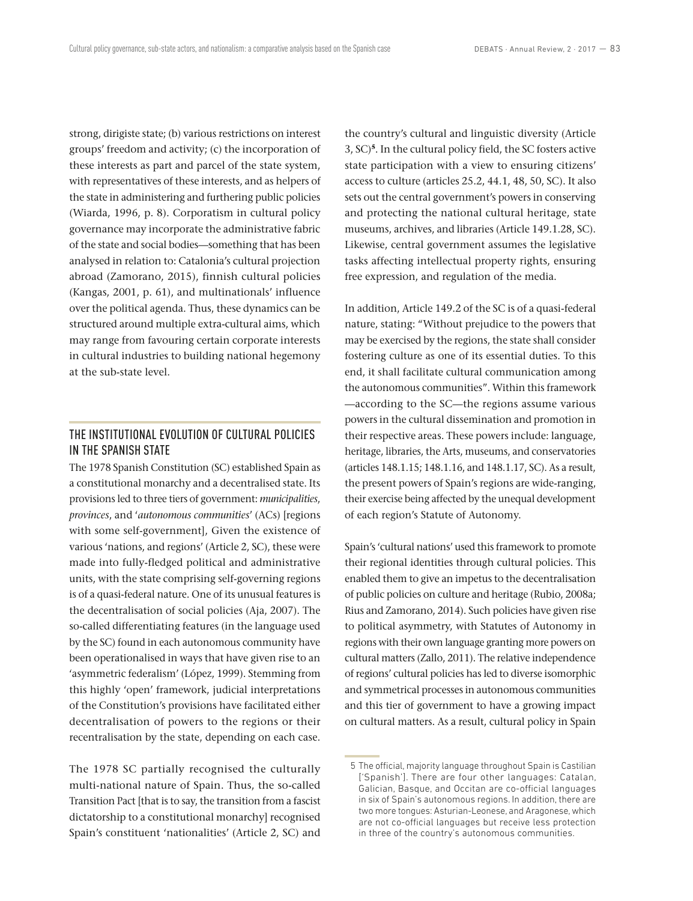strong, dirigiste state; (b) various restrictions on interest groups' freedom and activity; (c) the incorporation of these interests as part and parcel of the state system, with representatives of these interests, and as helpers of the state in administering and furthering public policies (Wiarda, 1996, p. 8). Corporatism in cultural policy governance may incorporate the administrative fabric of the state and social bodies—something that has been analysed in relation to: Catalonia's cultural projection abroad (Zamorano, 2015), finnish cultural policies (Kangas, 2001, p. 61), and multinationals' influence over the political agenda. Thus, these dynamics can be structured around multiple extra-cultural aims, which may range from favouring certain corporate interests in cultural industries to building national hegemony at the sub‑state level.

## THE INSTITUTIONAL EVOLUTION OF CULTURAL POLICIES IN THE SPANISH STATE

The 1978 Spanish Constitution (SC) established Spain as a constitutional monarchy and a decentralised state. Its provisions led to three tiers of government: *municipalities*, *provinces*, and '*autonomous communities*' (ACs) [regions with some self‑government], Given the existence of various 'nations, and regions' (Article 2, SC), these were made into fully‑fledged political and administrative units, with the state comprising self‑governing regions is of a quasi-federal nature. One of its unusual features is the decentralisation of social policies (Aja, 2007). The so-called differentiating features (in the language used by the SC) found in each autonomous community have been operationalised in ways that have given rise to an 'asymmetric federalism' (López, 1999). Stemming from this highly 'open' framework, judicial interpretations of the Constitution's provisions have facilitated either decentralisation of powers to the regions or their recentralisation by the state, depending on each case.

The 1978 SC partially recognised the culturally multi-national nature of Spain. Thus, the so-called Transition Pact [that is to say, the transition from a fascist dictatorship to a constitutional monarchy] recognised Spain's constituent 'nationalities' (Article 2, SC) and

the country's cultural and linguistic diversity (Article 3, SC)**<sup>5</sup>**. In the cultural policy field, the SC fosters active state participation with a view to ensuring citizens' access to culture (articles 25.2, 44.1, 48, 50, SC). It also sets out the central government's powers in conserving and protecting the national cultural heritage, state museums, archives, and libraries (Article 149.1.28, SC). Likewise, central government assumes the legislative tasks affecting intellectual property rights, ensuring free expression, and regulation of the media.

In addition, Article 149.2 of the SC is of a quasi-federal nature, stating: "Without prejudice to the powers that may be exercised by the regions, the state shall consider fostering culture as one of its essential duties. To this end, it shall facilitate cultural communication among the autonomous communities". Within this framework —according to the SC—the regions assume various powers in the cultural dissemination and promotion in their respective areas. These powers include: language, heritage, libraries, the Arts, museums, and conservatories (articles 148.1.15; 148.1.16, and 148.1.17, SC). As a result, the present powers of Spain's regions are wide-ranging, their exercise being affected by the unequal development of each region's Statute of Autonomy.

Spain's 'cultural nations' used this framework to promote their regional identities through cultural policies. This enabled them to give an impetus to the decentralisation of public policies on culture and heritage (Rubio, 2008a; Rius and Zamorano, 2014). Such policies have given rise to political asymmetry, with Statutes of Autonomy in regions with their own language granting more powers on cultural matters (Zallo, 2011). The relative independence of regions' cultural policies has led to diverse isomorphic and symmetrical processes in autonomous communities and this tier of government to have a growing impact on cultural matters. As a result, cultural policy in Spain

 <sup>5</sup> The official, majority language throughout Spain is Castilian ['Spanish']. There are four other languages: Catalan, Galician, Basque, and Occitan are co-official languages in six of Spain's autonomous regions. In addition, there are two more tongues: Asturian-Leonese, and Aragonese, which are not co-official languages but receive less protection in three of the country's autonomous communities.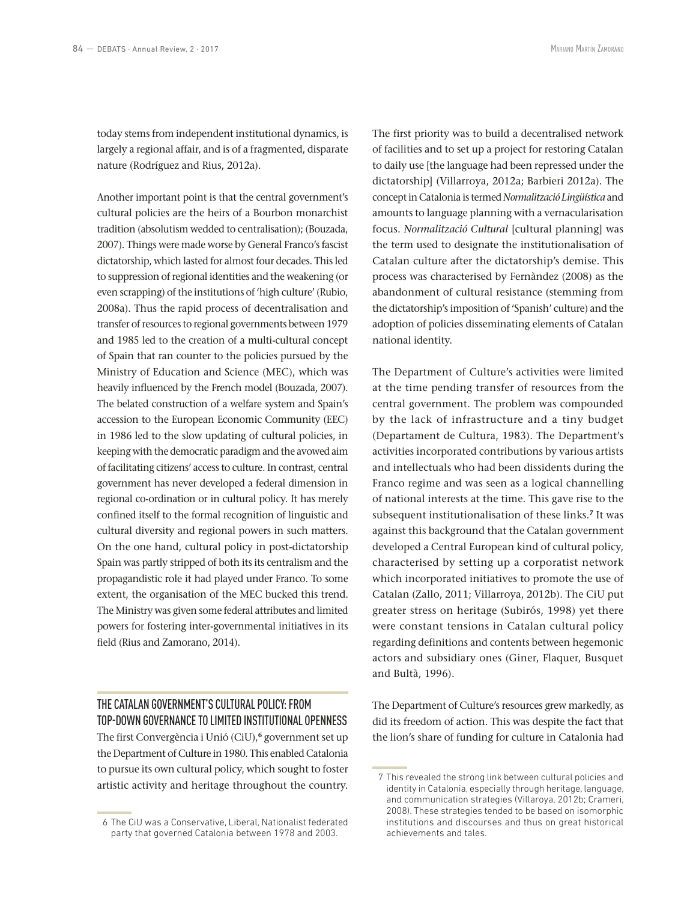today stems from independent institutional dynamics, is largely a regional affair, and is of a fragmented, disparate nature (Rodríguez and Rius, 2012a).

Another important point is that the central government's cultural policies are the heirs of a Bourbon monarchist tradition (absolutism wedded to centralisation); (Bouzada, 2007). Things were made worse by General Franco's fascist dictatorship, which lasted for almost four decades. This led to suppression of regional identities and the weakening (or even scrapping) of the institutions of 'high culture' (Rubio, 2008a). Thus the rapid process of decentralisation and transfer of resources to regional governments between 1979 and 1985 led to the creation of a multi-cultural concept of Spain that ran counter to the policies pursued by the Ministry of Education and Science (MEC), which was heavily influenced by the French model (Bouzada, 2007). The belated construction of a welfare system and Spain's accession to the European Economic Community (EEC) in 1986 led to the slow updating of cultural policies, in keeping with the democratic paradigm and the avowed aim of facilitating citizens' access to culture. In contrast, central government has never developed a federal dimension in regional co-ordination or in cultural policy. It has merely confined itself to the formal recognition of linguistic and cultural diversity and regional powers in such matters. On the one hand, cultural policy in post-dictatorship Spain was partly stripped of both its its centralism and the propagandistic role it had played under Franco. To some extent, the organisation of the MEC bucked this trend. The Ministry was given some federal attributes and limited powers for fostering inter‑governmental initiatives in its field (Rius and Zamorano, 2014).

## THE CATALAN GOVERNMENT'S CULTURAL POLICY: FROM TOP‑DOWN GOVERNANCE TO LIMITED INSTITUTIONAL OPENNESS

The first Convergència i Unió (CiU),**<sup>6</sup>** government set up the Department of Culture in 1980. This enabled Catalonia to pursue its own cultural policy, which sought to foster artistic activity and heritage throughout the country.

The first priority was to build a decentralised network of facilities and to set up a project for restoring Catalan to daily use [the language had been repressed under the dictatorship] (Villarroya, 2012a; Barbieri 2012a). The concept in Catalonia is termed *Normalització Lingüística* and amounts to language planning with a vernacularisation focus. *Normalització Cultural* [cultural planning] was the term used to designate the institutionalisation of Catalan culture after the dictatorship's demise. This process was characterised by Fernàndez (2008) as the abandonment of cultural resistance (stemming from the dictatorship's imposition of 'Spanish' culture) and the adoption of policies disseminating elements of Catalan national identity.

The Department of Culture's activities were limited at the time pending transfer of resources from the central government. The problem was compounded by the lack of infrastructure and a tiny budget (Departament de Cultura, 1983). The Department's activities incorporated contributions by various artists and intellectuals who had been dissidents during the Franco regime and was seen as a logical channelling of national interests at the time. This gave rise to the subsequent institutionalisation of these links.**<sup>7</sup>** It was against this background that the Catalan government developed a Central European kind of cultural policy, characterised by setting up a corporatist network which incorporated initiatives to promote the use of Catalan (Zallo, 2011; Villarroya, 2012b). The CiU put greater stress on heritage (Subirós, 1998) yet there were constant tensions in Catalan cultural policy regarding definitions and contents between hegemonic actors and subsidiary ones (Giner, Flaquer, Busquet and Bultà, 1996).

The Department of Culture's resources grew markedly, as did its freedom of action. This was despite the fact that the lion's share of funding for culture in Catalonia had

 <sup>6</sup> The CiU was a Conservative, Liberal, Nationalist federated party that governed Catalonia between 1978 and 2003.

 <sup>7</sup> This revealed the strong link between cultural policies and identity in Catalonia, especially through heritage, language, and communication strategies (Villaroya, 2012b; Crameri, 2008). These strategies tended to be based on isomorphic institutions and discourses and thus on great historical achievements and tales.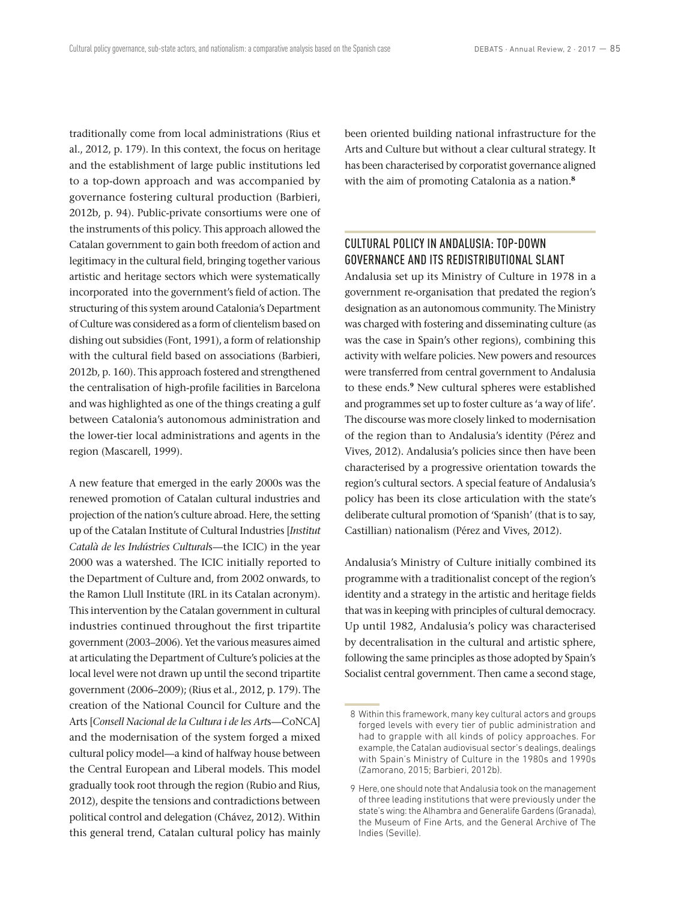traditionally come from local administrations (Rius et al., 2012, p. 179). In this context, the focus on heritage and the establishment of large public institutions led to a top‑down approach and was accompanied by governance fostering cultural production (Barbieri, 2012b, p. 94). Public‑private consortiums were one of the instruments of this policy. This approach allowed the Catalan government to gain both freedom of action and legitimacy in the cultural field, bringing together various artistic and heritage sectors which were systematically incorporated into the government's field of action. The structuring of this system around Catalonia's Department of Culture was considered as a form of clientelism based on dishing out subsidies (Font, 1991), a form of relationship with the cultural field based on associations (Barbieri, 2012b, p. 160). This approach fostered and strengthened the centralisation of high-profile facilities in Barcelona and was highlighted as one of the things creating a gulf between Catalonia's autonomous administration and the lower-tier local administrations and agents in the region (Mascarell, 1999).

A new feature that emerged in the early 2000s was the renewed promotion of Catalan cultural industries and projection of the nation's culture abroad. Here, the setting up of the Catalan Institute of Cultural Industries [*Institut Català de les Indústries Cultural*s—the ICIC) in the year 2000 was a watershed. The ICIC initially reported to the Department of Culture and, from 2002 onwards, to the Ramon Llull Institute (IRL in its Catalan acronym). This intervention by the Catalan government in cultural industries continued throughout the first tripartite government (2003–2006). Yet the various measures aimed at articulating the Department of Culture's policies at the local level were not drawn up until the second tripartite government (2006–2009); (Rius et al., 2012, p. 179). The creation of the National Council for Culture and the Arts [*Consell Nacional de la Cultura i de les Art*s—CoNCA] and the modernisation of the system forged a mixed cultural policy model—a kind of halfway house between the Central European and Liberal models. This model gradually took root through the region (Rubio and Rius, 2012), despite the tensions and contradictions between political control and delegation (Chávez, 2012). Within this general trend, Catalan cultural policy has mainly been oriented building national infrastructure for the Arts and Culture but without a clear cultural strategy. It has been characterised by corporatist governance aligned with the aim of promoting Catalonia as a nation.**<sup>8</sup>**

#### CULTURAL POLICY IN ANDALUSIA: TOP‑DOWN GOVERNANCE AND ITS REDISTRIBUTIONAL SLANT

Andalusia set up its Ministry of Culture in 1978 in a government re‑organisation that predated the region's designation as an autonomous community. The Ministry was charged with fostering and disseminating culture (as was the case in Spain's other regions), combining this activity with welfare policies. New powers and resources were transferred from central government to Andalusia to these ends.**<sup>9</sup>** New cultural spheres were established and programmes set up to foster culture as 'a way of life'. The discourse was more closely linked to modernisation of the region than to Andalusia's identity (Pérez and Vives, 2012). Andalusia's policies since then have been characterised by a progressive orientation towards the region's cultural sectors. A special feature of Andalusia's policy has been its close articulation with the state's deliberate cultural promotion of 'Spanish' (that is to say, Castillian) nationalism (Pérez and Vives, 2012).

Andalusia's Ministry of Culture initially combined its programme with a traditionalist concept of the region's identity and a strategy in the artistic and heritage fields that was in keeping with principles of cultural democracy. Up until 1982, Andalusia's policy was characterised by decentralisation in the cultural and artistic sphere, following the same principles as those adopted by Spain's Socialist central government. Then came a second stage,

 <sup>8</sup> Within this framework, many key cultural actors and groups forged levels with every tier of public administration and had to grapple with all kinds of policy approaches. For example, the Catalan audiovisual sector's dealings, dealings with Spain's Ministry of Culture in the 1980s and 1990s (Zamorano, 2015; Barbieri, 2012b).

 <sup>9</sup> Here, one should note that Andalusia took on the management of three leading institutions that were previously under the state's wing: the Alhambra and Generalife Gardens (Granada), the Museum of Fine Arts, and the General Archive of The Indies (Seville).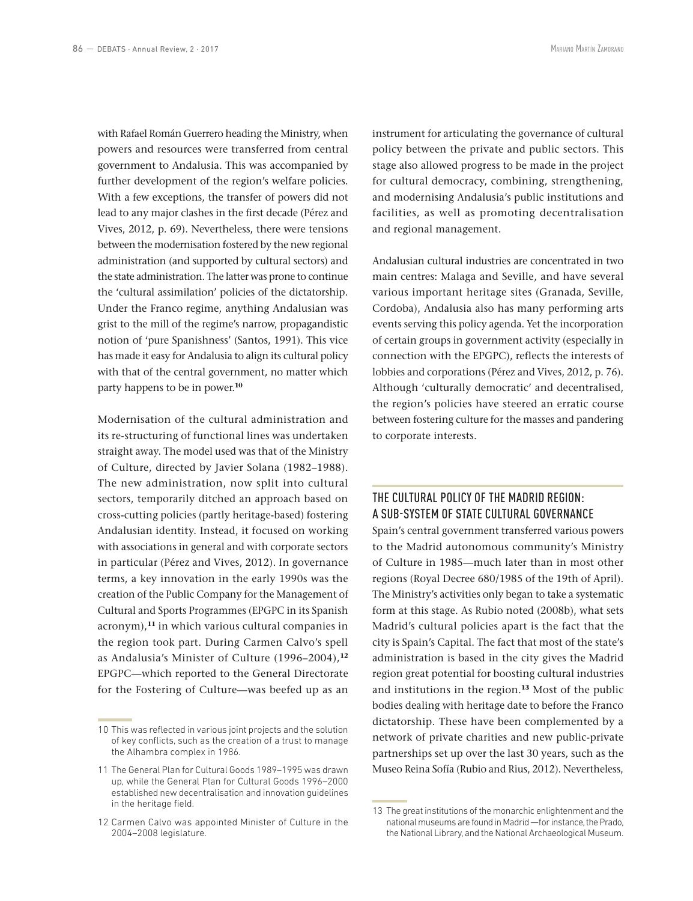with Rafael Román Guerrero heading the Ministry, when powers and resources were transferred from central government to Andalusia. This was accompanied by further development of the region's welfare policies. With a few exceptions, the transfer of powers did not lead to any major clashes in the first decade (Pérez and Vives, 2012, p. 69). Nevertheless, there were tensions between the modernisation fostered by the new regional administration (and supported by cultural sectors) and the state administration. The latter was prone to continue the 'cultural assimilation' policies of the dictatorship. Under the Franco regime, anything Andalusian was grist to the mill of the regime's narrow, propagandistic notion of 'pure Spanishness' (Santos, 1991). This vice has made it easy for Andalusia to align its cultural policy with that of the central government, no matter which party happens to be in power.**<sup>10</sup>**

Modernisation of the cultural administration and its re‑structuring of functional lines was undertaken straight away. The model used was that of the Ministry of Culture, directed by Javier Solana (1982–1988). The new administration, now split into cultural sectors, temporarily ditched an approach based on cross‑cutting policies (partly heritage‑based) fostering Andalusian identity. Instead, it focused on working with associations in general and with corporate sectors in particular (Pérez and Vives, 2012). In governance terms, a key innovation in the early 1990s was the creation of the Public Company for the Management of Cultural and Sports Programmes (EPGPC in its Spanish acronym),**<sup>11</sup>** in which various cultural companies in the region took part. During Carmen Calvo's spell as Andalusia's Minister of Culture (1996–2004),**<sup>12</sup>** EPGPC—which reported to the General Directorate for the Fostering of Culture—was beefed up as an

instrument for articulating the governance of cultural policy between the private and public sectors. This stage also allowed progress to be made in the project for cultural democracy, combining, strengthening, and modernising Andalusia's public institutions and facilities, as well as promoting decentralisation and regional management.

Andalusian cultural industries are concentrated in two main centres: Malaga and Seville, and have several various important heritage sites (Granada, Seville, Cordoba), Andalusia also has many performing arts events serving this policy agenda. Yet the incorporation of certain groups in government activity (especially in connection with the EPGPC), reflects the interests of lobbies and corporations (Pérez and Vives, 2012, p. 76). Although 'culturally democratic' and decentralised, the region's policies have steered an erratic course between fostering culture for the masses and pandering to corporate interests.

# THE CULTURAL POLICY OF THE MADRID REGION: A SUB‑SYSTEM OF STATE CULTURAL GOVERNANCE

Spain's central government transferred various powers to the Madrid autonomous community's Ministry of Culture in 1985—much later than in most other regions (Royal Decree 680/1985 of the 19th of April). The Ministry's activities only began to take a systematic form at this stage. As Rubio noted (2008b), what sets Madrid's cultural policies apart is the fact that the city is Spain's Capital. The fact that most of the state's administration is based in the city gives the Madrid region great potential for boosting cultural industries and institutions in the region.**<sup>13</sup>** Most of the public bodies dealing with heritage date to before the Franco dictatorship. These have been complemented by a network of private charities and new public‑private partnerships set up over the last 30 years, such as the Museo Reina Sofía (Rubio and Rius, 2012). Nevertheless,

<sup>10</sup> This was reflected in various joint projects and the solution of key conflicts, such as the creation of a trust to manage the Alhambra complex in 1986.

<sup>11</sup> The General Plan for Cultural Goods 1989–1995 was drawn up, while the General Plan for Cultural Goods 1996–2000 established new decentralisation and innovation guidelines in the heritage field.

<sup>12</sup> Carmen Calvo was appointed Minister of Culture in the 2004–2008 legislature.

<sup>13</sup> The great institutions of the monarchic enlightenment and the national museums are found in Madrid —for instance, the Prado, the National Library, and the National Archaeological Museum.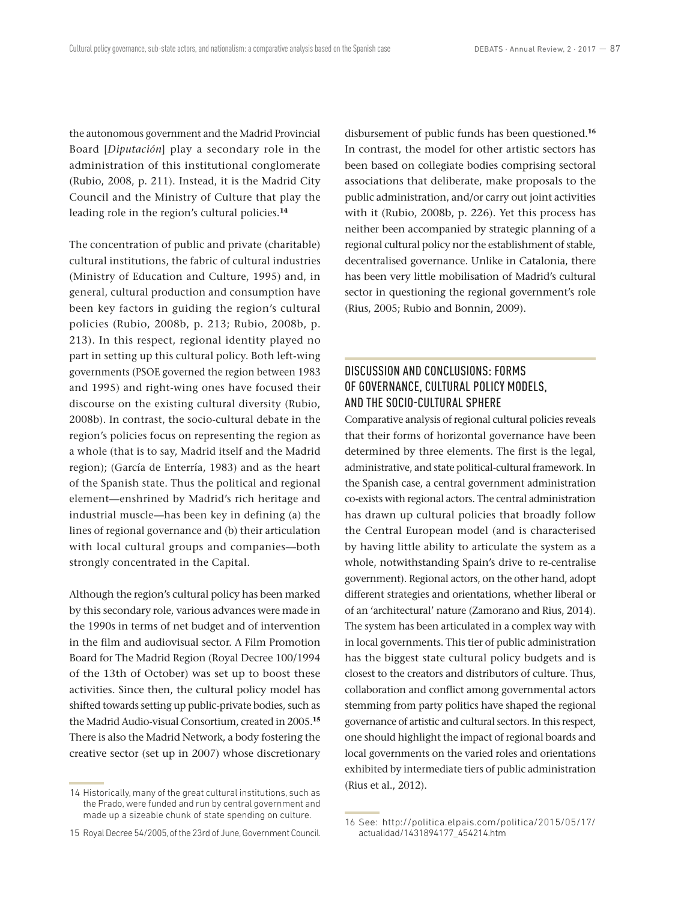the autonomous government and the Madrid Provincial Board [*Diputación*] play a secondary role in the administration of this institutional conglomerate (Rubio, 2008, p. 211). Instead, it is the Madrid City Council and the Ministry of Culture that play the leading role in the region's cultural policies.**<sup>14</sup>**

The concentration of public and private (charitable) cultural institutions, the fabric of cultural industries (Ministry of Education and Culture, 1995) and, in general, cultural production and consumption have been key factors in guiding the region's cultural policies (Rubio, 2008b, p. 213; Rubio, 2008b, p. 213). In this respect, regional identity played no part in setting up this cultural policy. Both left-wing governments (PSOE governed the region between 1983 and 1995) and right-wing ones have focused their discourse on the existing cultural diversity (Rubio, 2008b). In contrast, the socio‑cultural debate in the region's policies focus on representing the region as a whole (that is to say, Madrid itself and the Madrid region); (García de Enterría, 1983) and as the heart of the Spanish state. Thus the political and regional element—enshrined by Madrid's rich heritage and industrial muscle—has been key in defining (a) the lines of regional governance and (b) their articulation with local cultural groups and companies—both strongly concentrated in the Capital.

Although the region's cultural policy has been marked by this secondary role, various advances were made in the 1990s in terms of net budget and of intervention in the film and audiovisual sector. A Film Promotion Board for The Madrid Region (Royal Decree 100/1994 of the 13th of October) was set up to boost these activities. Since then, the cultural policy model has shifted towards setting up public‑private bodies, such as the Madrid Audio‑visual Consortium, created in 2005.**<sup>15</sup>** There is also the Madrid Network, a body fostering the creative sector (set up in 2007) whose discretionary

disbursement of public funds has been questioned.**<sup>16</sup>** In contrast, the model for other artistic sectors has been based on collegiate bodies comprising sectoral associations that deliberate, make proposals to the public administration, and/or carry out joint activities with it (Rubio, 2008b, p. 226). Yet this process has neither been accompanied by strategic planning of a regional cultural policy nor the establishment of stable, decentralised governance. Unlike in Catalonia, there has been very little mobilisation of Madrid's cultural sector in questioning the regional government's role (Rius, 2005; Rubio and Bonnin, 2009).

# DISCUSSION AND CONCLUSIONS: FORMS OF GOVERNANCE, CULTURAL POLICY MODELS, AND THE SOCIO‑CULTURAL SPHERE

Comparative analysis of regional cultural policies reveals that their forms of horizontal governance have been determined by three elements. The first is the legal, administrative, and state political-cultural framework. In the Spanish case, a central government administration co‑exists with regional actors. The central administration has drawn up cultural policies that broadly follow the Central European model (and is characterised by having little ability to articulate the system as a whole, notwithstanding Spain's drive to re-centralise government). Regional actors, on the other hand, adopt different strategies and orientations, whether liberal or of an 'architectural' nature (Zamorano and Rius, 2014). The system has been articulated in a complex way with in local governments. This tier of public administration has the biggest state cultural policy budgets and is closest to the creators and distributors of culture. Thus, collaboration and conflict among governmental actors stemming from party politics have shaped the regional governance of artistic and cultural sectors. In this respect, one should highlight the impact of regional boards and local governments on the varied roles and orientations exhibited by intermediate tiers of public administration (Rius et al., 2012).

<sup>14</sup> Historically, many of the great cultural institutions, such as the Prado, were funded and run by central government and made up a sizeable chunk of state spending on culture.

<sup>15</sup> Royal Decree 54/2005, of the 23rd of June, Government Council.

<sup>16</sup> See: http://politica.elpais.com/politica/2015/05/17/ actualidad/1431894177\_454214.htm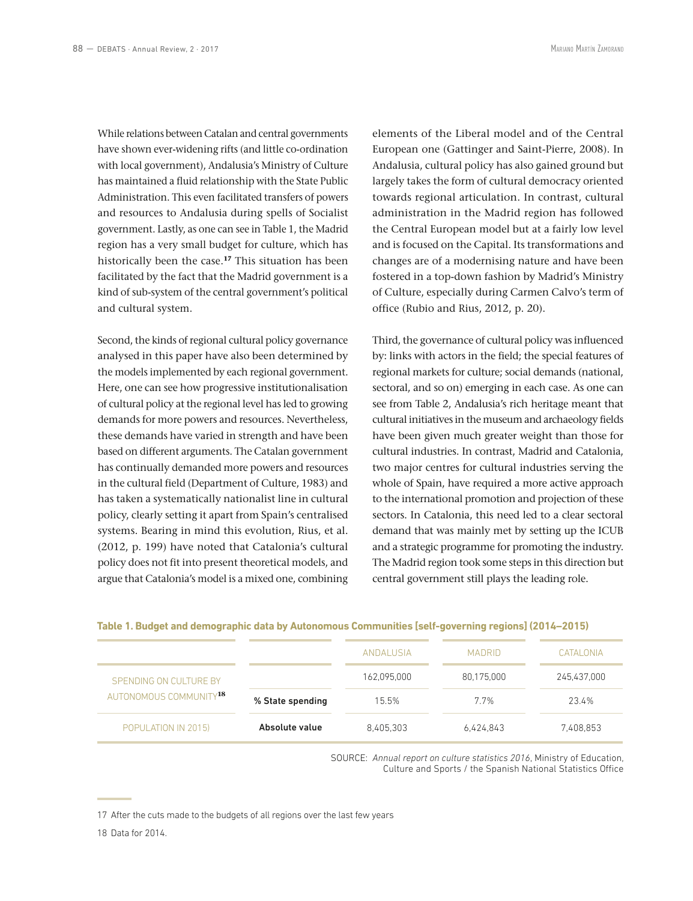While relations between Catalan and central governments have shown ever-widening rifts (and little co-ordination with local government), Andalusia's Ministry of Culture has maintained a fluid relationship with the State Public Administration. This even facilitated transfers of powers and resources to Andalusia during spells of Socialist government. Lastly, as one can see in Table 1, the Madrid region has a very small budget for culture, which has historically been the case.**<sup>17</sup>** This situation has been facilitated by the fact that the Madrid government is a kind of sub‑system of the central government's political and cultural system.

Second, the kinds of regional cultural policy governance analysed in this paper have also been determined by the models implemented by each regional government. Here, one can see how progressive institutionalisation of cultural policy at the regional level has led to growing demands for more powers and resources. Nevertheless, these demands have varied in strength and have been based on different arguments. The Catalan government has continually demanded more powers and resources in the cultural field (Department of Culture, 1983) and has taken a systematically nationalist line in cultural policy, clearly setting it apart from Spain's centralised systems. Bearing in mind this evolution, Rius, et al. (2012, p. 199) have noted that Catalonia's cultural policy does not fit into present theoretical models, and argue that Catalonia's model is a mixed one, combining elements of the Liberal model and of the Central European one (Gattinger and Saint‑Pierre, 2008). In Andalusia, cultural policy has also gained ground but largely takes the form of cultural democracy oriented towards regional articulation. In contrast, cultural administration in the Madrid region has followed the Central European model but at a fairly low level and is focused on the Capital. Its transformations and changes are of a modernising nature and have been fostered in a top‑down fashion by Madrid's Ministry of Culture, especially during Carmen Calvo's term of office (Rubio and Rius, 2012, p. 20).

Third, the governance of cultural policy was influenced by: links with actors in the field; the special features of regional markets for culture; social demands (national, sectoral, and so on) emerging in each case. As one can see from Table 2, Andalusia's rich heritage meant that cultural initiatives in the museum and archaeology fields have been given much greater weight than those for cultural industries. In contrast, Madrid and Catalonia, two major centres for cultural industries serving the whole of Spain, have required a more active approach to the international promotion and projection of these sectors. In Catalonia, this need led to a clear sectoral demand that was mainly met by setting up the ICUB and a strategic programme for promoting the industry. The Madrid region took some steps in this direction but central government still plays the leading role.

| (2014–2015) Table 1. Budget and demographic data by Autonomous Communities [self-governing regions] |  |  |
|-----------------------------------------------------------------------------------------------------|--|--|
|-----------------------------------------------------------------------------------------------------|--|--|

|                                                              |                  | ANDALUSIA   | <b>MADRID</b> | <b>CATALONIA</b> |
|--------------------------------------------------------------|------------------|-------------|---------------|------------------|
| SPENDING ON CULTURE BY<br>AUTONOMOUS COMMUNITY <sup>18</sup> |                  | 162.095.000 | 80.175.000    | 245,437,000      |
|                                                              | % State spending | 15.5%       | 77%           | 23.4%            |
| POPULATION IN 2015)                                          | Absolute value   | 8.405.303   | 6.424.843     | 7.408.853        |

SOURCE: *Annual report on culture statistics 2016*, Ministry of Education, Culture and Sports / the Spanish National Statistics Office

<sup>17</sup> After the cuts made to the budgets of all regions over the last few years

<sup>18</sup> Data for 2014.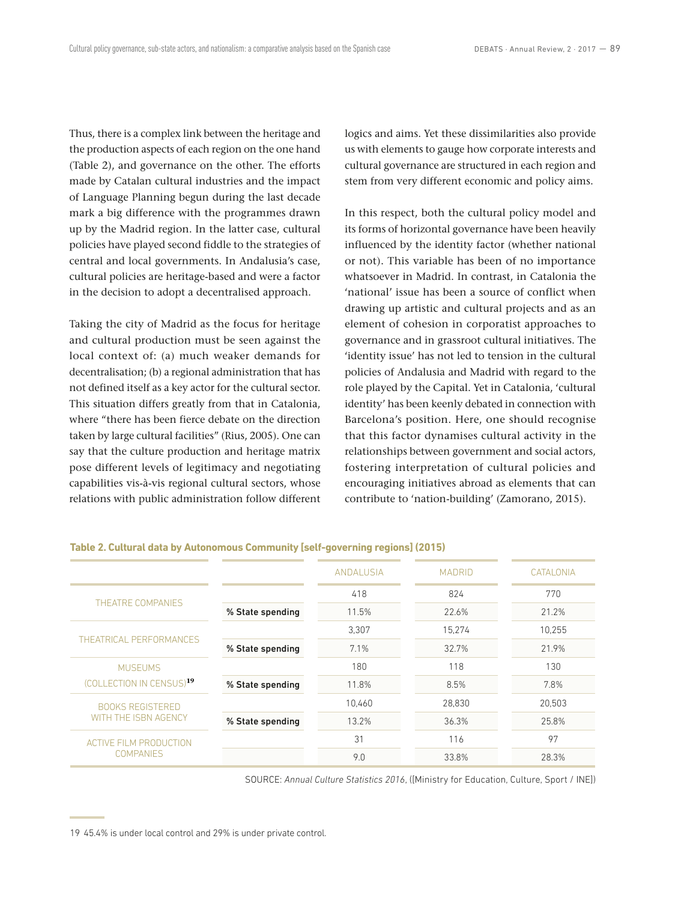Thus, there is a complex link between the heritage and the production aspects of each region on the one hand (Table 2), and governance on the other. The efforts made by Catalan cultural industries and the impact of Language Planning begun during the last decade mark a big difference with the programmes drawn up by the Madrid region. In the latter case, cultural policies have played second fiddle to the strategies of central and local governments. In Andalusia's case, cultural policies are heritage‑based and were a factor in the decision to adopt a decentralised approach.

Taking the city of Madrid as the focus for heritage and cultural production must be seen against the local context of: (a) much weaker demands for decentralisation; (b) a regional administration that has not defined itself as a key actor for the cultural sector. This situation differs greatly from that in Catalonia, where "there has been fierce debate on the direction taken by large cultural facilities" (Rius, 2005). One can say that the culture production and heritage matrix pose different levels of legitimacy and negotiating capabilities vis‑à‑vis regional cultural sectors, whose relations with public administration follow different logics and aims. Yet these dissimilarities also provide us with elements to gauge how corporate interests and cultural governance are structured in each region and stem from very different economic and policy aims.

In this respect, both the cultural policy model and its forms of horizontal governance have been heavily influenced by the identity factor (whether national or not). This variable has been of no importance whatsoever in Madrid. In contrast, in Catalonia the 'national' issue has been a source of conflict when drawing up artistic and cultural projects and as an element of cohesion in corporatist approaches to governance and in grassroot cultural initiatives. The 'identity issue' has not led to tension in the cultural policies of Andalusia and Madrid with regard to the role played by the Capital. Yet in Catalonia, 'cultural identity' has been keenly debated in connection with Barcelona's position. Here, one should recognise that this factor dynamises cultural activity in the relationships between government and social actors, fostering interpretation of cultural policies and encouraging initiatives abroad as elements that can contribute to 'nation‑building' (Zamorano, 2015).

|                                                   |                  | <b>ANDALUSIA</b> | <b>MADRID</b> | CATALONIA |
|---------------------------------------------------|------------------|------------------|---------------|-----------|
| THEATRE COMPANIES                                 |                  | 418              | 824           | 770       |
|                                                   | % State spending | 11.5%            | 22.6%         | 21.2%     |
| THEATRICAL PERFORMANCES                           |                  | 3.307            | 15.274        | 10.255    |
|                                                   | % State spending | 7.1%             | 32.7%         | 21.9%     |
| <b>MUSEUMS</b>                                    |                  | 180              | 118           | 130       |
| (COLLECTION IN CENSUS) <sup>19</sup>              | % State spending | 11.8%            | 8.5%          | 7.8%      |
| <b>BOOKS REGISTERED</b><br>WITH THE ISBN AGENCY   |                  | 10.460           | 28,830        | 20,503    |
|                                                   | % State spending | 13.2%            | 36.3%         | 25.8%     |
| <b>ACTIVE FILM PRODUCTION</b><br><b>COMPANIES</b> |                  | 31               | 116           | 97        |
|                                                   |                  | 9.0              | 33.8%         | 28.3%     |

**Table 2. Cultural data by Autonomous Community [self‑governing regions] (2015)**

SOURCE: *Annual Culture Statistics 2016*, ([Ministry for Education, Culture, Sport / INE])

<sup>19</sup> 45.4% is under local control and 29% is under private control.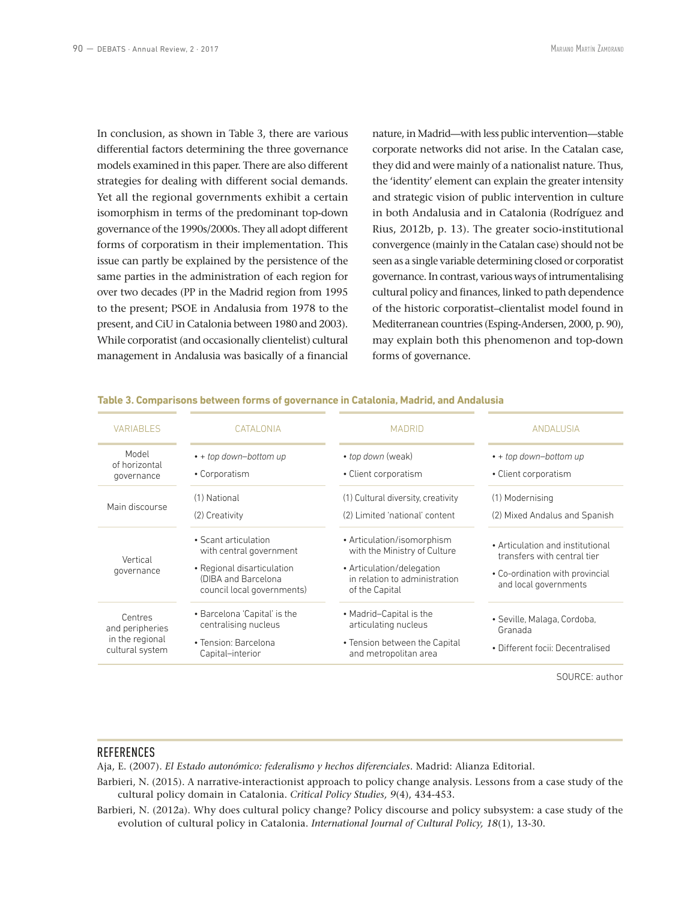In conclusion, as shown in Table 3, there are various differential factors determining the three governance models examined in this paper. There are also different strategies for dealing with different social demands. Yet all the regional governments exhibit a certain isomorphism in terms of the predominant top-down governance of the 1990s/2000s. They all adopt different forms of corporatism in their implementation. This issue can partly be explained by the persistence of the same parties in the administration of each region for over two decades (PP in the Madrid region from 1995 to the present; PSOE in Andalusia from 1978 to the present, and CiU in Catalonia between 1980 and 2003). While corporatist (and occasionally clientelist) cultural management in Andalusia was basically of a financial

nature, in Madrid—with less public intervention—stable corporate networks did not arise. In the Catalan case, they did and were mainly of a nationalist nature. Thus, the 'identity' element can explain the greater intensity and strategic vision of public intervention in culture in both Andalusia and in Catalonia (Rodríguez and Rius, 2012b, p. 13). The greater socio‑institutional convergence (mainly in the Catalan case) should not be seen as a single variable determining closed or corporatist governance. In contrast, various ways of intrumentalising cultural policy and finances, linked to path dependence of the historic corporatist–clientalist model found in Mediterranean countries (Esping‑Andersen, 2000, p. 90), may explain both this phenomenon and top‑down forms of governance.

| <b>VARIABLES</b>                                                 | <b>CATALONIA</b>                                                                                                                   | <b>MADRID</b>                                                                                                                              | <b>ANDALUSIA</b>                                                                                                            |
|------------------------------------------------------------------|------------------------------------------------------------------------------------------------------------------------------------|--------------------------------------------------------------------------------------------------------------------------------------------|-----------------------------------------------------------------------------------------------------------------------------|
| Model<br>of horizontal<br>governance                             | $\cdot$ + top down-bottom up<br>• Corporatism                                                                                      | • top down (weak)<br>• Client corporatism                                                                                                  | • + top down-bottom up<br>• Client corporatism                                                                              |
| Main discourse                                                   | (1) National<br>(2) Creativity                                                                                                     | (1) Cultural diversity, creativity<br>(2) Limited 'national' content                                                                       | (1) Modernising<br>(2) Mixed Andalus and Spanish                                                                            |
| Vertical<br>governance                                           | • Scant articulation<br>with central government<br>• Regional disarticulation<br>(DIBA and Barcelona<br>council local governments) | • Articulation/isomorphism<br>with the Ministry of Culture<br>• Articulation/delegation<br>in relation to administration<br>of the Capital | • Articulation and institutional<br>transfers with central tier<br>• Co-ordination with provincial<br>and local governments |
| Centres<br>and peripheries<br>in the regional<br>cultural system | • Barcelona 'Capital' is the<br>centralising nucleus<br>• Tension: Barcelona<br>Capital-interior                                   | • Madrid-Capital is the<br>articulating nucleus<br>• Tension between the Capital<br>and metropolitan area                                  | • Seville, Malaga, Cordoba,<br>Granada<br>• Different focii: Decentralised                                                  |
|                                                                  |                                                                                                                                    |                                                                                                                                            | $\sim$ $\sim$ $\sim$ $\sim$ $\sim$                                                                                          |

#### **Table 3. Comparisons between forms of governance in Catalonia, Madrid, and Andalusia**

SOURCE: author

#### **REFERENCES**

Aja, E. (2007). *El Estado autonómico: federalismo y hechos diferenciales*. Madrid: Alianza Editorial.

- Barbieri, N. (2015). A narrative-interactionist approach to policy change analysis. Lessons from a case study of the cultural policy domain in Catalonia. *Critical Policy Studies, 9*(4), 434‑453.
- Barbieri, N. (2012a). Why does cultural policy change? Policy discourse and policy subsystem: a case study of the evolution of cultural policy in Catalonia. *International Journal of Cultural Policy, 18*(1), 13‑30.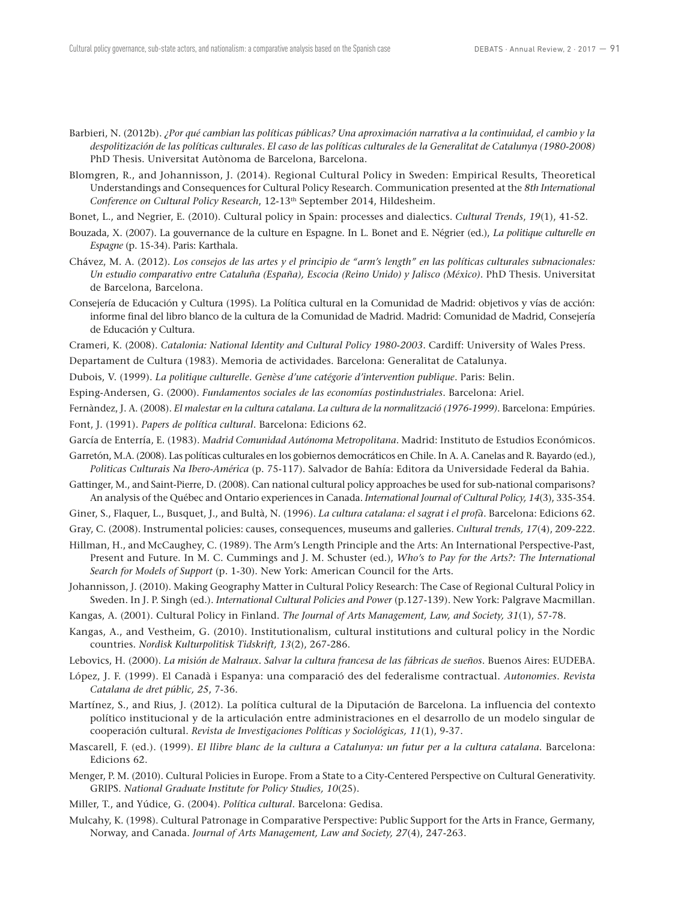- Barbieri, N. (2012b). *¿Por qué cambian las políticas públicas? Una aproximación narrativa a la continuidad, el cambio y la despolitización de las políticas culturales. El caso de las políticas culturales de la Generalitat de Catalunya (1980‑2008)* PhD Thesis. Universitat Autònoma de Barcelona, Barcelona.
- Blomgren, R., and Johannisson, J. (2014). Regional Cultural Policy in Sweden: Empirical Results, Theoretical Understandings and Consequences for Cultural Policy Research. Communication presented at the *8th International*  Conference on Cultural Policy Research, 12-13<sup>th</sup> September 2014, Hildesheim.
- Bonet, L., and Negrier, E. (2010). Cultural policy in Spain: processes and dialectics. *Cultural Trends*, *19*(1), 41‑52.
- Bouzada, X. (2007). La gouvernance de la culture en Espagne. In L. Bonet and E. Négrier (ed.), *La politique culturelle en Espagne* (p. 15‑34). Paris: Karthala.
- Chávez, M. A. (2012). *Los consejos de las artes y el principio de "arm's length" en las políticas culturales subnacionales: Un estudio comparativo entre Cataluña (España), Escocia (Reino Unido) y Jalisco (México)*. PhD Thesis. Universitat de Barcelona, Barcelona.
- Consejería de Educación y Cultura (1995). La Política cultural en la Comunidad de Madrid: objetivos y vías de acción: informe final del libro blanco de la cultura de la Comunidad de Madrid. Madrid: Comunidad de Madrid, Consejería de Educación y Cultura.
- Crameri, K. (2008). *Catalonia: National Identity and Cultural Policy 1980‑2003*. Cardiff: University of Wales Press.
- Departament de Cultura (1983). Memoria de actividades. Barcelona: Generalitat de Catalunya.
- Dubois, V. (1999). *La politique culturelle. Genèse d'une catégorie d'intervention publique*. Paris: Belin.
- Esping‑Andersen, G. (2000). *Fundamentos sociales de las economías postindustriales*. Barcelona: Ariel.
- Fernàndez, J. A. (2008). *El malestar en la cultura catalana. La cultura de la normalització (1976‑1999)*. Barcelona: Empúries.
- Font, J. (1991). *Papers de política cultural*. Barcelona: Edicions 62.
- García de Enterría, E. (1983). *Madrid Comunidad Autónoma Metropolitana*. Madrid: Instituto de Estudios Económicos.
- Garretón, M.A. (2008). Las políticas culturales en los gobiernos democráticos en Chile. In A. A. Canelas and R. Bayardo (ed.), *Politicas Culturais Na Ibero‑América* (p. 75‑117). Salvador de Bahía: Editora da Universidade Federal da Bahia.
- Gattinger, M., and Saint-Pierre, D. (2008). Can national cultural policy approaches be used for sub-national comparisons? An analysis of the Québec and Ontario experiences in Canada. *International Journal of Cultural Policy, 14*(3), 335‑354.
- Giner, S., Flaquer, L., Busquet, J., and Bultà, N. (1996). *La cultura catalana: el sagrat i el profà*. Barcelona: Edicions 62.

Gray, C. (2008). Instrumental policies: causes, consequences, museums and galleries. *Cultural trends, 17*(4), 209‑222.

- Hillman, H., and McCaughey, C. (1989). The Arm's Length Principle and the Arts: An International Perspective-Past, Present and Future. In M. C. Cummings and J. M. Schuster (ed.), *Who's to Pay for the Arts?: The International Search for Models of Support* (p. 1‑30). New York: American Council for the Arts.
- Johannisson, J. (2010). Making Geography Matter in Cultural Policy Research: The Case of Regional Cultural Policy in Sweden. In J. P. Singh (ed.). *International Cultural Policies and Power* (p.127‑139). New York: Palgrave Macmillan.
- Kangas, A. (2001). Cultural Policy in Finland. *The Journal of Arts Management, Law, and Society, 31*(1), 57‑78.
- Kangas, A., and Vestheim, G. (2010). Institutionalism, cultural institutions and cultural policy in the Nordic countries. *Nordisk Kulturpolitisk Tidskrift, 13*(2), 267‑286.
- Lebovics, H. (2000). *La misión de Malraux. Salvar la cultura francesa de las fábricas de sueños*. Buenos Aires: EUDEBA.
- López, J. F. (1999). El Canadà i Espanya: una comparació des del federalisme contractual. *Autonomies. Revista Catalana de dret públic, 25*, 7‑36.
- Martínez, S., and Rius, J. (2012). La política cultural de la Diputación de Barcelona. La influencia del contexto político institucional y de la articulación entre administraciones en el desarrollo de un modelo singular de cooperación cultural. *Revista de Investigaciones Políticas y Sociológicas, 11*(1), 9‑37.
- Mascarell, F. (ed.). (1999). *El llibre blanc de la cultura a Catalunya: un futur per a la cultura catalana*. Barcelona: Edicions 62.
- Menger, P. M. (2010). Cultural Policies in Europe. From a State to a City‑Centered Perspective on Cultural Generativity. GRIPS. *National Graduate Institute for Policy Studies, 10*(25).
- Miller, T., and Yúdice, G. (2004). *Política cultural*. Barcelona: Gedisa.
- Mulcahy, K. (1998). Cultural Patronage in Comparative Perspective: Public Support for the Arts in France, Germany, Norway, and Canada. *Journal of Arts Management, Law and Society, 27*(4), 247‑263.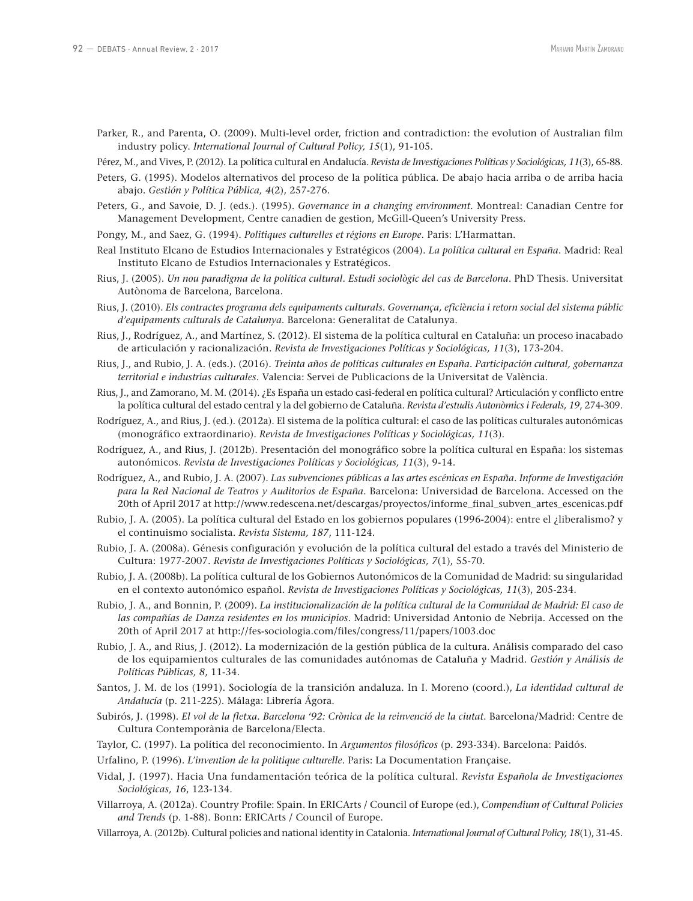- Parker, R., and Parenta, O. (2009). Multi-level order, friction and contradiction: the evolution of Australian film industry policy. *International Journal of Cultural Policy, 15*(1), 91-105.
- Pérez, M., and Vives, P. (2012). La política cultural en Andalucía. *Revista de Investigaciones Políticas y Sociológicas, 11*(3), 65‑88.
- Peters, G. (1995). Modelos alternativos del proceso de la política pública. De abajo hacia arriba o de arriba hacia abajo. *Gestión y Política Pública, 4*(2), 257‑276.
- Peters, G., and Savoie, D. J. (eds.). (1995). *Governance in a changing environment*. Montreal: Canadian Centre for Management Development, Centre canadien de gestion, McGill-Queen's University Press.
- Pongy, M., and Saez, G. (1994). *Politiques culturelles et régions en Europe*. Paris: L'Harmattan.
- Real Instituto Elcano de Estudios Internacionales y Estratégicos (2004). *La política cultural en España*. Madrid: Real Instituto Elcano de Estudios Internacionales y Estratégicos.
- Rius, J. (2005). *Un nou paradigma de la política cultural. Estudi sociològic del cas de Barcelona*. PhD Thesis. Universitat Autònoma de Barcelona, Barcelona.
- Rius, J. (2010). *Els contractes programa dels equipaments culturals. Governança, eficiència i retorn social del sistema públic d'equipaments culturals de Catalunya*. Barcelona: Generalitat de Catalunya.
- Rius, J., Rodríguez, A., and Martínez, S. (2012). El sistema de la política cultural en Cataluña: un proceso inacabado de articulación y racionalización. *Revista de Investigaciones Políticas y Sociológicas, 11*(3), 173‑204.
- Rius, J., and Rubio, J. A. (eds.). (2016). *Treinta años de políticas culturales en España. Participación cultural, gobernanza territorial e industrias culturales*. Valencia: Servei de Publicacions de la Universitat de València.
- Rius, J., and Zamorano, M. M. (2014). ¿Es España un estado casi‑federal en política cultural? Articulación y conflicto entre la política cultural del estado central y la del gobierno de Cataluña. *Revista d'estudis Autonòmics i Federals, 19*, 274‑309.
- Rodríguez, A., and Rius, J. (ed.). (2012a). El sistema de la política cultural: el caso de las políticas culturales autonómicas (monográfico extraordinario). *Revista de Investigaciones Políticas y Sociológicas, 11*(3).
- Rodríguez, A., and Rius, J. (2012b). Presentación del monográfico sobre la política cultural en España: los sistemas autonómicos. *Revista de Investigaciones Políticas y Sociológicas, 11*(3), 9‑14.
- Rodríguez, A., and Rubio, J. A. (2007). *Las subvenciones públicas a las artes escénicas en España. Informe de Investigación para la Red Nacional de Teatros y Auditorios de España*. Barcelona: Universidad de Barcelona. Accessed on the 20th of April 2017 at http://www.redescena.net/descargas/proyectos/informe\_final\_subven\_artes\_escenicas.pdf
- Rubio, J. A. (2005). La política cultural del Estado en los gobiernos populares (1996‑2004): entre el ¿liberalismo? y el continuismo socialista. *Revista Sistema, 187*, 111‑124.
- Rubio, J. A. (2008a). Génesis configuración y evolución de la política cultural del estado a través del Ministerio de Cultura: 1977‑2007. *Revista de Investigaciones Políticas y Sociológicas, 7*(1), 55‑70.
- Rubio, J. A. (2008b). La política cultural de los Gobiernos Autonómicos de la Comunidad de Madrid: su singularidad en el contexto autonómico español. *Revista de Investigaciones Políticas y Sociológicas, 11*(3), 205‑234.
- Rubio, J. A., and Bonnin, P. (2009). *La institucionalización de la política cultural de la Comunidad de Madrid: El caso de las compañías de Danza residentes en los municipios*. Madrid: Universidad Antonio de Nebrija. Accessed on the 20th of April 2017 at http://fes‑sociologia.com/files/congress/11/papers/1003.doc
- Rubio, J. A., and Rius, J. (2012). La modernización de la gestión pública de la cultura. Análisis comparado del caso de los equipamientos culturales de las comunidades autónomas de Cataluña y Madrid. *Gestión y Análisis de Políticas Públicas, 8*, 11‑34.
- Santos, J. M. de los (1991). Sociología de la transición andaluza. In I. Moreno (coord.), *La identidad cultural de Andalucía* (p. 211‑225). Málaga: Librería Ágora.
- Subirós, J. (1998). *El vol de la fletxa. Barcelona '92: Crònica de la reinvenció de la ciutat*. Barcelona/Madrid: Centre de Cultura Contemporània de Barcelona/Electa.
- Taylor, C. (1997). La política del reconocimiento. In *Argumentos filosóficos* (p. 293‑334). Barcelona: Paidós.

Urfalino, P. (1996). *L'invention de la politique culturelle*. Paris: La Documentation Française.

- Vidal, J. (1997). Hacia Una fundamentación teórica de la política cultural. *Revista Española de Investigaciones Sociológicas, 16*, 123‑134.
- Villarroya, A. (2012a). Country Profile: Spain. In ERICArts / Council of Europe (ed.), *Compendium of Cultural Policies and Trends* (p. 1‑88). Bonn: ERICArts / Council of Europe.
- Villarroya, A. (2012b). Cultural policies and national identity in Catalonia. *International Journal of Cultural Policy, 18*(1), 31‑45.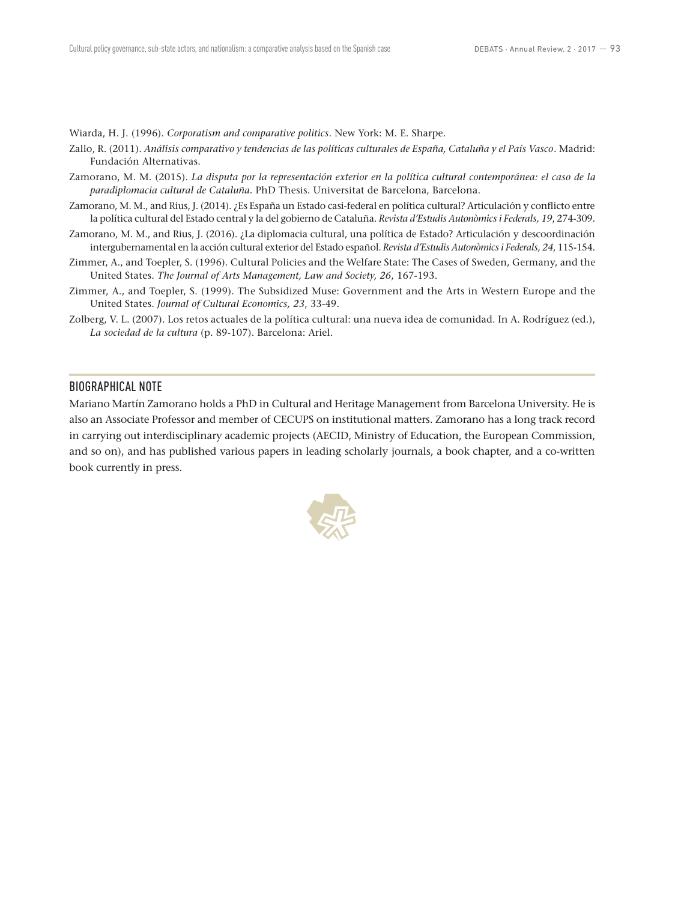Wiarda, H. J. (1996). *Corporatism and comparative politics*. New York: M. E. Sharpe.

- Zallo, R. (2011). *Análisis comparativo y tendencias de las políticas culturales de España, Cataluña y el País Vasco*. Madrid: Fundación Alternativas.
- Zamorano, M. M. (2015). *La disputa por la representación exterior en la política cultural contemporánea: el caso de la paradiplomacia cultural de Cataluña*. PhD Thesis. Universitat de Barcelona, Barcelona.
- Zamorano, M. M., and Rius, J. (2014). ¿Es España un Estado casi-federal en política cultural? Articulación y conflicto entre la política cultural del Estado central y la del gobierno de Cataluña. *Revista d'Estudis Autonòmics i Federals, 19*, 274‑309.
- Zamorano, M. M., and Rius, J. (2016). ¿La diplomacia cultural, una política de Estado? Articulación y descoordinación intergubernamental en la acción cultural exterior del Estado español. *Revista d'Estudis Autonòmics i Federals, 24*, 115‑154.
- Zimmer, A., and Toepler, S. (1996). Cultural Policies and the Welfare State: The Cases of Sweden, Germany, and the United States. *The Journal of Arts Management, Law and Society, 26*, 167‑193.
- Zimmer, A., and Toepler, S. (1999). The Subsidized Muse: Government and the Arts in Western Europe and the United States. *Journal of Cultural Economics, 23*, 33‑49.
- Zolberg, V. L. (2007). Los retos actuales de la política cultural: una nueva idea de comunidad. In A. Rodríguez (ed.), *La sociedad de la cultura* (p. 89‑107). Barcelona: Ariel.

#### BIOGRAPHICAL NOTE

Mariano Martín Zamorano holds a PhD in Cultural and Heritage Management from Barcelona University. He is also an Associate Professor and member of CECUPS on institutional matters. Zamorano has a long track record in carrying out interdisciplinary academic projects (AECID, Ministry of Education, the European Commission, and so on), and has published various papers in leading scholarly journals, a book chapter, and a co-written book currently in press.